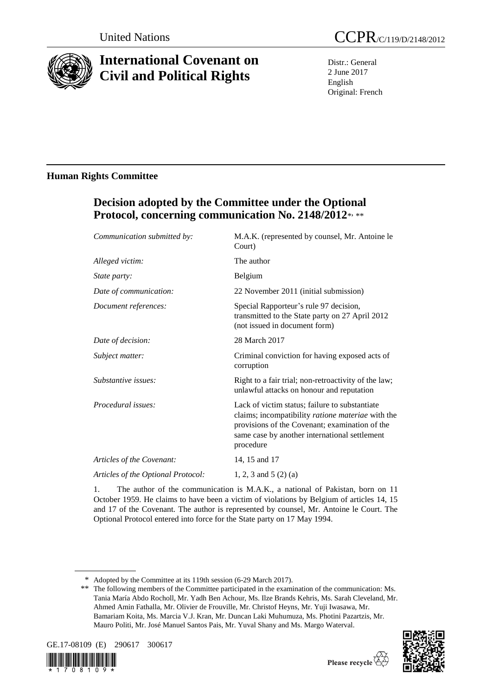

# **International Covenant on Civil and Political Rights**

Distr.: General 2 June 2017 English Original: French

# **Human Rights Committee**

# **Decision adopted by the Committee under the Optional**  Protocol, concerning communication No. 2148/2012\*, \*\*

| Communication submitted by:        | M.A.K. (represented by counsel, Mr. Antoine le<br>Court)                                                                                                                                                            |
|------------------------------------|---------------------------------------------------------------------------------------------------------------------------------------------------------------------------------------------------------------------|
| Alleged victim:                    | The author                                                                                                                                                                                                          |
| <i>State party:</i>                | Belgium                                                                                                                                                                                                             |
| Date of communication:             | 22 November 2011 (initial submission)                                                                                                                                                                               |
| Document references:               | Special Rapporteur's rule 97 decision,<br>transmitted to the State party on 27 April 2012<br>(not issued in document form)                                                                                          |
| Date of decision:                  | 28 March 2017                                                                                                                                                                                                       |
| Subject matter:                    | Criminal conviction for having exposed acts of<br>corruption                                                                                                                                                        |
| Substantive issues:                | Right to a fair trial; non-retroactivity of the law;<br>unlawful attacks on honour and reputation                                                                                                                   |
| Procedural issues:                 | Lack of victim status; failure to substantiate<br>claims; incompatibility ratione materiae with the<br>provisions of the Covenant; examination of the<br>same case by another international settlement<br>procedure |
| Articles of the Covenant:          | 14, 15 and 17                                                                                                                                                                                                       |
| Articles of the Optional Protocol: | 1, 2, 3 and 5 $(2)$ (a)                                                                                                                                                                                             |
|                                    |                                                                                                                                                                                                                     |

1. The author of the communication is M.A.K., a national of Pakistan, born on 11 October 1959. He claims to have been a victim of violations by Belgium of articles 14, 15 and 17 of the Covenant. The author is represented by counsel, Mr. Antoine le Court. The Optional Protocol entered into force for the State party on 17 May 1994.

<sup>\*\*</sup> The following members of the Committee participated in the examination of the communication: Ms. Tania María Abdo Rocholl, Mr. Yadh Ben Achour, Ms. Ilze Brands Kehris, Ms. Sarah Cleveland, Mr. Ahmed Amin Fathalla, Mr. Olivier de Frouville, Mr. Christof Heyns, Mr. Yuji Iwasawa, Mr. Bamariam Koita, Ms. Marcia V.J. Kran, Mr. Duncan Laki Muhumuza, Ms. Photini Pazartzis, Mr. Mauro Politi, Mr. José Manuel Santos Pais, Mr. Yuval Shany and Ms. Margo Waterval.





<sup>\*</sup> Adopted by the Committee at its 119th session (6-29 March 2017).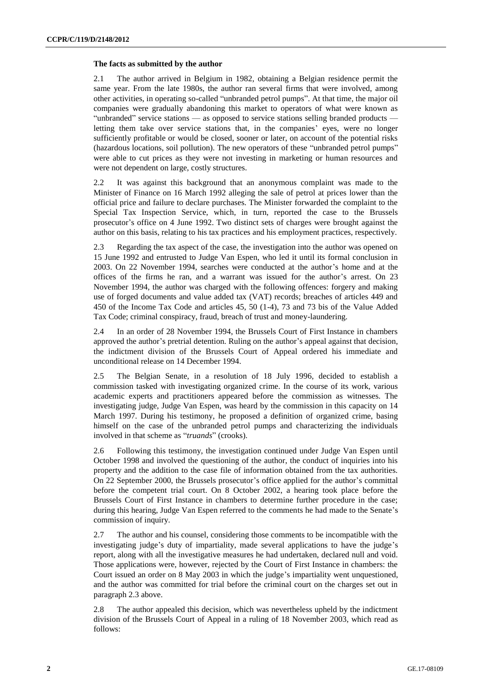#### **The facts as submitted by the author**

2.1 The author arrived in Belgium in 1982, obtaining a Belgian residence permit the same year. From the late 1980s, the author ran several firms that were involved, among other activities, in operating so-called "unbranded petrol pumps". At that time, the major oil companies were gradually abandoning this market to operators of what were known as "unbranded" service stations — as opposed to service stations selling branded products letting them take over service stations that, in the companies' eyes, were no longer sufficiently profitable or would be closed, sooner or later, on account of the potential risks (hazardous locations, soil pollution). The new operators of these "unbranded petrol pumps" were able to cut prices as they were not investing in marketing or human resources and were not dependent on large, costly structures.

2.2 It was against this background that an anonymous complaint was made to the Minister of Finance on 16 March 1992 alleging the sale of petrol at prices lower than the official price and failure to declare purchases. The Minister forwarded the complaint to the Special Tax Inspection Service, which, in turn, reported the case to the Brussels prosecutor's office on 4 June 1992. Two distinct sets of charges were brought against the author on this basis, relating to his tax practices and his employment practices, respectively.

2.3 Regarding the tax aspect of the case, the investigation into the author was opened on 15 June 1992 and entrusted to Judge Van Espen, who led it until its formal conclusion in 2003. On 22 November 1994, searches were conducted at the author's home and at the offices of the firms he ran, and a warrant was issued for the author's arrest. On 23 November 1994, the author was charged with the following offences: forgery and making use of forged documents and value added tax (VAT) records; breaches of articles 449 and 450 of the Income Tax Code and articles 45, 50 (1-4), 73 and 73 bis of the Value Added Tax Code; criminal conspiracy, fraud, breach of trust and money-laundering.

2.4 In an order of 28 November 1994, the Brussels Court of First Instance in chambers approved the author's pretrial detention. Ruling on the author's appeal against that decision, the indictment division of the Brussels Court of Appeal ordered his immediate and unconditional release on 14 December 1994.

2.5 The Belgian Senate, in a resolution of 18 July 1996, decided to establish a commission tasked with investigating organized crime. In the course of its work, various academic experts and practitioners appeared before the commission as witnesses. The investigating judge, Judge Van Espen, was heard by the commission in this capacity on 14 March 1997. During his testimony, he proposed a definition of organized crime, basing himself on the case of the unbranded petrol pumps and characterizing the individuals involved in that scheme as "*truands*" (crooks).

2.6 Following this testimony, the investigation continued under Judge Van Espen until October 1998 and involved the questioning of the author, the conduct of inquiries into his property and the addition to the case file of information obtained from the tax authorities. On 22 September 2000, the Brussels prosecutor's office applied for the author's committal before the competent trial court. On 8 October 2002, a hearing took place before the Brussels Court of First Instance in chambers to determine further procedure in the case; during this hearing, Judge Van Espen referred to the comments he had made to the Senate's commission of inquiry.

2.7 The author and his counsel, considering those comments to be incompatible with the investigating judge's duty of impartiality, made several applications to have the judge's report, along with all the investigative measures he had undertaken, declared null and void. Those applications were, however, rejected by the Court of First Instance in chambers: the Court issued an order on 8 May 2003 in which the judge's impartiality went unquestioned, and the author was committed for trial before the criminal court on the charges set out in paragraph 2.3 above.

2.8 The author appealed this decision, which was nevertheless upheld by the indictment division of the Brussels Court of Appeal in a ruling of 18 November 2003, which read as follows: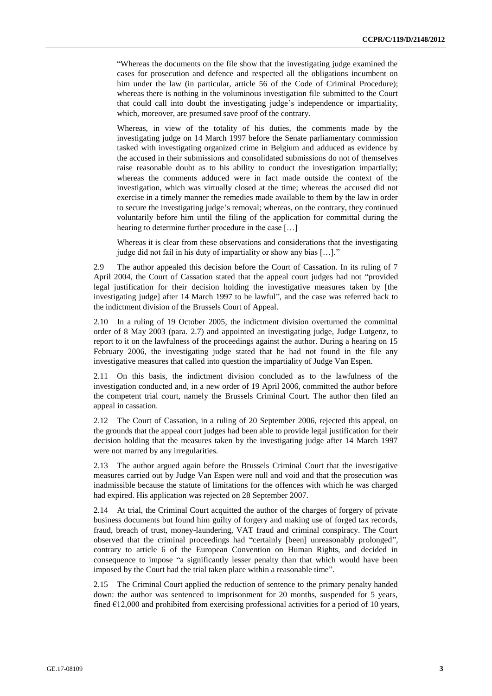"Whereas the documents on the file show that the investigating judge examined the cases for prosecution and defence and respected all the obligations incumbent on him under the law (in particular, article 56 of the Code of Criminal Procedure); whereas there is nothing in the voluminous investigation file submitted to the Court that could call into doubt the investigating judge's independence or impartiality, which, moreover, are presumed save proof of the contrary.

Whereas, in view of the totality of his duties, the comments made by the investigating judge on 14 March 1997 before the Senate parliamentary commission tasked with investigating organized crime in Belgium and adduced as evidence by the accused in their submissions and consolidated submissions do not of themselves raise reasonable doubt as to his ability to conduct the investigation impartially; whereas the comments adduced were in fact made outside the context of the investigation, which was virtually closed at the time; whereas the accused did not exercise in a timely manner the remedies made available to them by the law in order to secure the investigating judge's removal; whereas, on the contrary, they continued voluntarily before him until the filing of the application for committal during the hearing to determine further procedure in the case […]

Whereas it is clear from these observations and considerations that the investigating judge did not fail in his duty of impartiality or show any bias […]."

2.9 The author appealed this decision before the Court of Cassation. In its ruling of 7 April 2004, the Court of Cassation stated that the appeal court judges had not "provided legal justification for their decision holding the investigative measures taken by [the investigating judge] after 14 March 1997 to be lawful", and the case was referred back to the indictment division of the Brussels Court of Appeal.

2.10 In a ruling of 19 October 2005, the indictment division overturned the committal order of 8 May 2003 (para. 2.7) and appointed an investigating judge, Judge Lutgenz, to report to it on the lawfulness of the proceedings against the author. During a hearing on 15 February 2006, the investigating judge stated that he had not found in the file any investigative measures that called into question the impartiality of Judge Van Espen.

2.11 On this basis, the indictment division concluded as to the lawfulness of the investigation conducted and, in a new order of 19 April 2006, committed the author before the competent trial court, namely the Brussels Criminal Court. The author then filed an appeal in cassation.

2.12 The Court of Cassation, in a ruling of 20 September 2006, rejected this appeal, on the grounds that the appeal court judges had been able to provide legal justification for their decision holding that the measures taken by the investigating judge after 14 March 1997 were not marred by any irregularities.

2.13 The author argued again before the Brussels Criminal Court that the investigative measures carried out by Judge Van Espen were null and void and that the prosecution was inadmissible because the statute of limitations for the offences with which he was charged had expired. His application was rejected on 28 September 2007.

2.14 At trial, the Criminal Court acquitted the author of the charges of forgery of private business documents but found him guilty of forgery and making use of forged tax records, fraud, breach of trust, money-laundering, VAT fraud and criminal conspiracy. The Court observed that the criminal proceedings had "certainly [been] unreasonably prolonged", contrary to article 6 of the European Convention on Human Rights, and decided in consequence to impose "a significantly lesser penalty than that which would have been imposed by the Court had the trial taken place within a reasonable time".

2.15 The Criminal Court applied the reduction of sentence to the primary penalty handed down: the author was sentenced to imprisonment for 20 months, suspended for 5 years, fined  $E12,000$  and prohibited from exercising professional activities for a period of 10 years,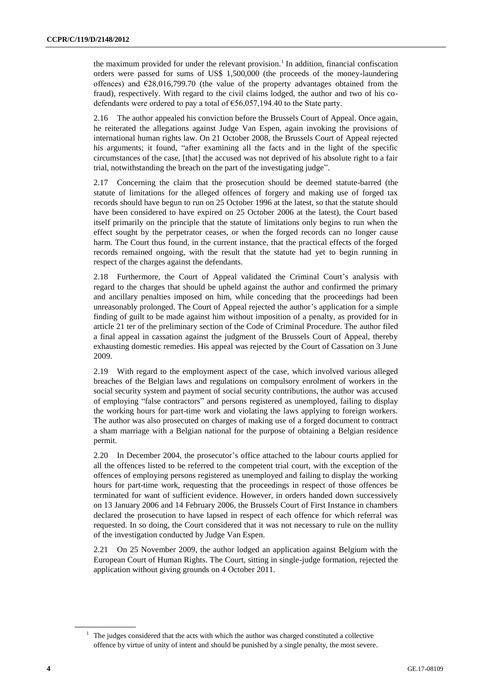the maximum provided for under the relevant provision.<sup>1</sup> In addition, financial confiscation orders were passed for sums of US\$ 1,500,000 (the proceeds of the money-laundering offences) and  $E28,016,799.70$  (the value of the property advantages obtained from the fraud), respectively. With regard to the civil claims lodged, the author and two of his codefendants were ordered to pay a total of €56,057,194.40 to the State party.

2.16 The author appealed his conviction before the Brussels Court of Appeal. Once again, he reiterated the allegations against Judge Van Espen, again invoking the provisions of international human rights law. On 21 October 2008, the Brussels Court of Appeal rejected his arguments; it found, "after examining all the facts and in the light of the specific circumstances of the case, [that] the accused was not deprived of his absolute right to a fair trial, notwithstanding the breach on the part of the investigating judge".

2.17 Concerning the claim that the prosecution should be deemed statute-barred (the statute of limitations for the alleged offences of forgery and making use of forged tax records should have begun to run on 25 October 1996 at the latest, so that the statute should have been considered to have expired on 25 October 2006 at the latest), the Court based itself primarily on the principle that the statute of limitations only begins to run when the effect sought by the perpetrator ceases, or when the forged records can no longer cause harm. The Court thus found, in the current instance, that the practical effects of the forged records remained ongoing, with the result that the statute had yet to begin running in respect of the charges against the defendants.

2.18 Furthermore, the Court of Appeal validated the Criminal Court's analysis with regard to the charges that should be upheld against the author and confirmed the primary and ancillary penalties imposed on him, while conceding that the proceedings had been unreasonably prolonged. The Court of Appeal rejected the author's application for a simple finding of guilt to be made against him without imposition of a penalty, as provided for in article 21 ter of the preliminary section of the Code of Criminal Procedure. The author filed a final appeal in cassation against the judgment of the Brussels Court of Appeal, thereby exhausting domestic remedies. His appeal was rejected by the Court of Cassation on 3 June 2009.

2.19 With regard to the employment aspect of the case, which involved various alleged breaches of the Belgian laws and regulations on compulsory enrolment of workers in the social security system and payment of social security contributions, the author was accused of employing "false contractors" and persons registered as unemployed, failing to display the working hours for part-time work and violating the laws applying to foreign workers. The author was also prosecuted on charges of making use of a forged document to contract a sham marriage with a Belgian national for the purpose of obtaining a Belgian residence permit.

2.20 In December 2004, the prosecutor's office attached to the labour courts applied for all the offences listed to be referred to the competent trial court, with the exception of the offences of employing persons registered as unemployed and failing to display the working hours for part-time work, requesting that the proceedings in respect of those offences be terminated for want of sufficient evidence. However, in orders handed down successively on 13 January 2006 and 14 February 2006, the Brussels Court of First Instance in chambers declared the prosecution to have lapsed in respect of each offence for which referral was requested. In so doing, the Court considered that it was not necessary to rule on the nullity of the investigation conducted by Judge Van Espen.

2.21 On 25 November 2009, the author lodged an application against Belgium with the European Court of Human Rights. The Court, sitting in single-judge formation, rejected the application without giving grounds on 4 October 2011.

<sup>&</sup>lt;sup>1</sup> The judges considered that the acts with which the author was charged constituted a collective offence by virtue of unity of intent and should be punished by a single penalty, the most severe.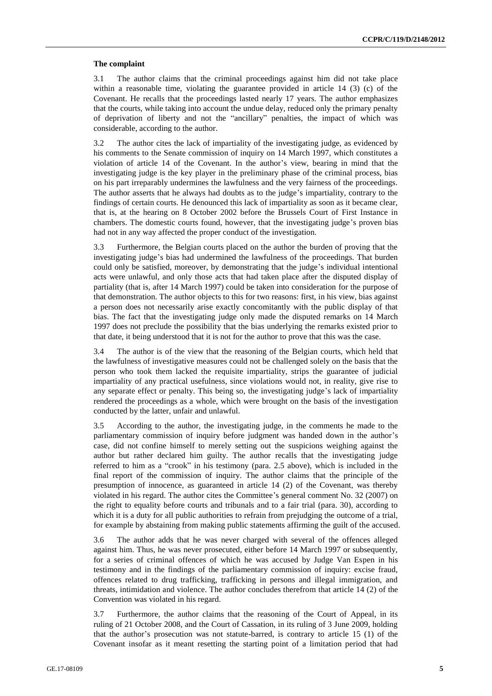#### **The complaint**

3.1 The author claims that the criminal proceedings against him did not take place within a reasonable time, violating the guarantee provided in article 14 (3) (c) of the Covenant. He recalls that the proceedings lasted nearly 17 years. The author emphasizes that the courts, while taking into account the undue delay, reduced only the primary penalty of deprivation of liberty and not the "ancillary" penalties, the impact of which was considerable, according to the author.

3.2 The author cites the lack of impartiality of the investigating judge, as evidenced by his comments to the Senate commission of inquiry on 14 March 1997, which constitutes a violation of article 14 of the Covenant. In the author's view, bearing in mind that the investigating judge is the key player in the preliminary phase of the criminal process, bias on his part irreparably undermines the lawfulness and the very fairness of the proceedings. The author asserts that he always had doubts as to the judge's impartiality, contrary to the findings of certain courts. He denounced this lack of impartiality as soon as it became clear, that is, at the hearing on 8 October 2002 before the Brussels Court of First Instance in chambers. The domestic courts found, however, that the investigating judge's proven bias had not in any way affected the proper conduct of the investigation.

3.3 Furthermore, the Belgian courts placed on the author the burden of proving that the investigating judge's bias had undermined the lawfulness of the proceedings. That burden could only be satisfied, moreover, by demonstrating that the judge's individual intentional acts were unlawful, and only those acts that had taken place after the disputed display of partiality (that is, after 14 March 1997) could be taken into consideration for the purpose of that demonstration. The author objects to this for two reasons: first, in his view, bias against a person does not necessarily arise exactly concomitantly with the public display of that bias. The fact that the investigating judge only made the disputed remarks on 14 March 1997 does not preclude the possibility that the bias underlying the remarks existed prior to that date, it being understood that it is not for the author to prove that this was the case.

3.4 The author is of the view that the reasoning of the Belgian courts, which held that the lawfulness of investigative measures could not be challenged solely on the basis that the person who took them lacked the requisite impartiality, strips the guarantee of judicial impartiality of any practical usefulness, since violations would not, in reality, give rise to any separate effect or penalty. This being so, the investigating judge's lack of impartiality rendered the proceedings as a whole, which were brought on the basis of the investigation conducted by the latter, unfair and unlawful.

3.5 According to the author, the investigating judge, in the comments he made to the parliamentary commission of inquiry before judgment was handed down in the author's case, did not confine himself to merely setting out the suspicions weighing against the author but rather declared him guilty. The author recalls that the investigating judge referred to him as a "crook" in his testimony (para. 2.5 above), which is included in the final report of the commission of inquiry. The author claims that the principle of the presumption of innocence, as guaranteed in article 14 (2) of the Covenant, was thereby violated in his regard. The author cites the Committee's general comment No. 32 (2007) on the right to equality before courts and tribunals and to a fair trial (para. 30), according to which it is a duty for all public authorities to refrain from prejudging the outcome of a trial, for example by abstaining from making public statements affirming the guilt of the accused.

3.6 The author adds that he was never charged with several of the offences alleged against him. Thus, he was never prosecuted, either before 14 March 1997 or subsequently, for a series of criminal offences of which he was accused by Judge Van Espen in his testimony and in the findings of the parliamentary commission of inquiry: excise fraud, offences related to drug trafficking, trafficking in persons and illegal immigration, and threats, intimidation and violence. The author concludes therefrom that article 14 (2) of the Convention was violated in his regard.

3.7 Furthermore, the author claims that the reasoning of the Court of Appeal, in its ruling of 21 October 2008, and the Court of Cassation, in its ruling of 3 June 2009, holding that the author's prosecution was not statute-barred, is contrary to article 15 (1) of the Covenant insofar as it meant resetting the starting point of a limitation period that had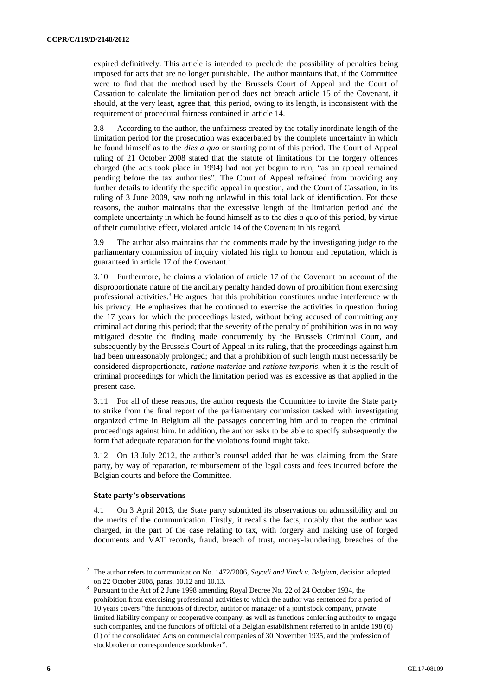expired definitively. This article is intended to preclude the possibility of penalties being imposed for acts that are no longer punishable. The author maintains that, if the Committee were to find that the method used by the Brussels Court of Appeal and the Court of Cassation to calculate the limitation period does not breach article 15 of the Covenant, it should, at the very least, agree that, this period, owing to its length, is inconsistent with the requirement of procedural fairness contained in article 14.

3.8 According to the author, the unfairness created by the totally inordinate length of the limitation period for the prosecution was exacerbated by the complete uncertainty in which he found himself as to the *dies a quo* or starting point of this period. The Court of Appeal ruling of 21 October 2008 stated that the statute of limitations for the forgery offences charged (the acts took place in 1994) had not yet begun to run, "as an appeal remained pending before the tax authorities". The Court of Appeal refrained from providing any further details to identify the specific appeal in question, and the Court of Cassation, in its ruling of 3 June 2009, saw nothing unlawful in this total lack of identification. For these reasons, the author maintains that the excessive length of the limitation period and the complete uncertainty in which he found himself as to the *dies a quo* of this period, by virtue of their cumulative effect, violated article 14 of the Covenant in his regard.

3.9 The author also maintains that the comments made by the investigating judge to the parliamentary commission of inquiry violated his right to honour and reputation, which is guaranteed in article 17 of the Covenant.<sup>2</sup>

3.10 Furthermore, he claims a violation of article 17 of the Covenant on account of the disproportionate nature of the ancillary penalty handed down of prohibition from exercising professional activities.<sup>3</sup> He argues that this prohibition constitutes undue interference with his privacy. He emphasizes that he continued to exercise the activities in question during the 17 years for which the proceedings lasted, without being accused of committing any criminal act during this period; that the severity of the penalty of prohibition was in no way mitigated despite the finding made concurrently by the Brussels Criminal Court, and subsequently by the Brussels Court of Appeal in its ruling, that the proceedings against him had been unreasonably prolonged; and that a prohibition of such length must necessarily be considered disproportionate, *ratione materiae* and *ratione temporis*, when it is the result of criminal proceedings for which the limitation period was as excessive as that applied in the present case.

3.11 For all of these reasons, the author requests the Committee to invite the State party to strike from the final report of the parliamentary commission tasked with investigating organized crime in Belgium all the passages concerning him and to reopen the criminal proceedings against him. In addition, the author asks to be able to specify subsequently the form that adequate reparation for the violations found might take.

3.12 On 13 July 2012, the author's counsel added that he was claiming from the State party, by way of reparation, reimbursement of the legal costs and fees incurred before the Belgian courts and before the Committee.

### **State party's observations**

4.1 On 3 April 2013, the State party submitted its observations on admissibility and on the merits of the communication. Firstly, it recalls the facts, notably that the author was charged, in the part of the case relating to tax, with forgery and making use of forged documents and VAT records, fraud, breach of trust, money-laundering, breaches of the

<sup>2</sup> The author refers to communication No. 1472/2006, *Sayadi and Vinck v. Belgium*, decision adopted on 22 October 2008, paras. 10.12 and 10.13.

<sup>&</sup>lt;sup>3</sup> Pursuant to the Act of 2 June 1998 amending Royal Decree No. 22 of 24 October 1934, the prohibition from exercising professional activities to which the author was sentenced for a period of 10 years covers "the functions of director, auditor or manager of a joint stock company, private limited liability company or cooperative company, as well as functions conferring authority to engage such companies, and the functions of official of a Belgian establishment referred to in article 198 (6) (1) of the consolidated Acts on commercial companies of 30 November 1935, and the profession of stockbroker or correspondence stockbroker".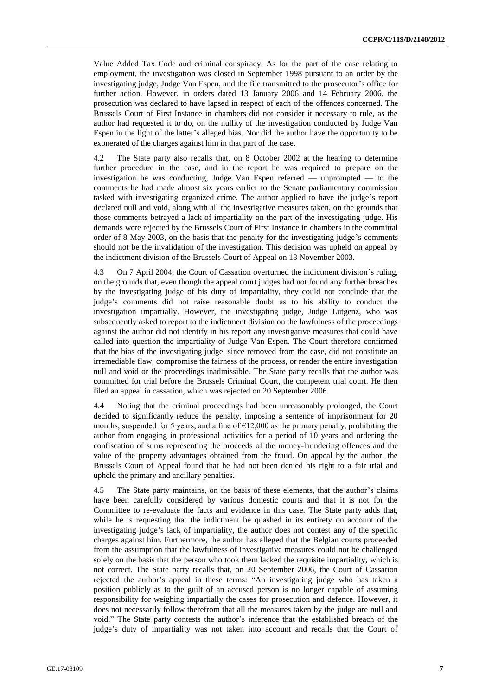Value Added Tax Code and criminal conspiracy. As for the part of the case relating to employment, the investigation was closed in September 1998 pursuant to an order by the investigating judge, Judge Van Espen, and the file transmitted to the prosecutor's office for further action. However, in orders dated 13 January 2006 and 14 February 2006, the prosecution was declared to have lapsed in respect of each of the offences concerned. The Brussels Court of First Instance in chambers did not consider it necessary to rule, as the author had requested it to do, on the nullity of the investigation conducted by Judge Van Espen in the light of the latter's alleged bias. Nor did the author have the opportunity to be exonerated of the charges against him in that part of the case.

4.2 The State party also recalls that, on 8 October 2002 at the hearing to determine further procedure in the case, and in the report he was required to prepare on the investigation he was conducting, Judge Van Espen referred — unprompted — to the comments he had made almost six years earlier to the Senate parliamentary commission tasked with investigating organized crime. The author applied to have the judge's report declared null and void, along with all the investigative measures taken, on the grounds that those comments betrayed a lack of impartiality on the part of the investigating judge. His demands were rejected by the Brussels Court of First Instance in chambers in the committal order of 8 May 2003, on the basis that the penalty for the investigating judge's comments should not be the invalidation of the investigation. This decision was upheld on appeal by the indictment division of the Brussels Court of Appeal on 18 November 2003.

4.3 On 7 April 2004, the Court of Cassation overturned the indictment division's ruling, on the grounds that, even though the appeal court judges had not found any further breaches by the investigating judge of his duty of impartiality, they could not conclude that the judge's comments did not raise reasonable doubt as to his ability to conduct the investigation impartially. However, the investigating judge, Judge Lutgenz, who was subsequently asked to report to the indictment division on the lawfulness of the proceedings against the author did not identify in his report any investigative measures that could have called into question the impartiality of Judge Van Espen. The Court therefore confirmed that the bias of the investigating judge, since removed from the case, did not constitute an irremediable flaw, compromise the fairness of the process, or render the entire investigation null and void or the proceedings inadmissible. The State party recalls that the author was committed for trial before the Brussels Criminal Court, the competent trial court. He then filed an appeal in cassation, which was rejected on 20 September 2006.

4.4 Noting that the criminal proceedings had been unreasonably prolonged, the Court decided to significantly reduce the penalty, imposing a sentence of imprisonment for 20 months, suspended for 5 years, and a fine of  $E12,000$  as the primary penalty, prohibiting the author from engaging in professional activities for a period of 10 years and ordering the confiscation of sums representing the proceeds of the money-laundering offences and the value of the property advantages obtained from the fraud. On appeal by the author, the Brussels Court of Appeal found that he had not been denied his right to a fair trial and upheld the primary and ancillary penalties.

4.5 The State party maintains, on the basis of these elements, that the author's claims have been carefully considered by various domestic courts and that it is not for the Committee to re-evaluate the facts and evidence in this case. The State party adds that, while he is requesting that the indictment be quashed in its entirety on account of the investigating judge's lack of impartiality, the author does not contest any of the specific charges against him. Furthermore, the author has alleged that the Belgian courts proceeded from the assumption that the lawfulness of investigative measures could not be challenged solely on the basis that the person who took them lacked the requisite impartiality, which is not correct. The State party recalls that, on 20 September 2006, the Court of Cassation rejected the author's appeal in these terms: "An investigating judge who has taken a position publicly as to the guilt of an accused person is no longer capable of assuming responsibility for weighing impartially the cases for prosecution and defence. However, it does not necessarily follow therefrom that all the measures taken by the judge are null and void." The State party contests the author's inference that the established breach of the judge's duty of impartiality was not taken into account and recalls that the Court of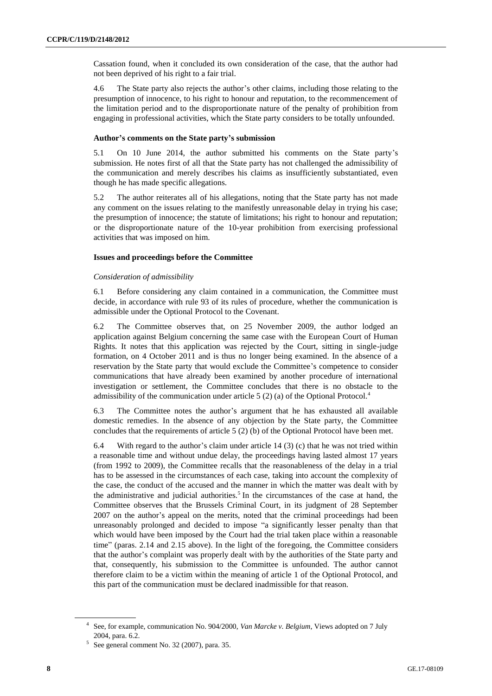Cassation found, when it concluded its own consideration of the case, that the author had not been deprived of his right to a fair trial.

4.6 The State party also rejects the author's other claims, including those relating to the presumption of innocence, to his right to honour and reputation, to the recommencement of the limitation period and to the disproportionate nature of the penalty of prohibition from engaging in professional activities, which the State party considers to be totally unfounded.

### **Author's comments on the State party's submission**

5.1 On 10 June 2014, the author submitted his comments on the State party's submission. He notes first of all that the State party has not challenged the admissibility of the communication and merely describes his claims as insufficiently substantiated, even though he has made specific allegations.

5.2 The author reiterates all of his allegations, noting that the State party has not made any comment on the issues relating to the manifestly unreasonable delay in trying his case; the presumption of innocence; the statute of limitations; his right to honour and reputation; or the disproportionate nature of the 10-year prohibition from exercising professional activities that was imposed on him.

# **Issues and proceedings before the Committee**

# *Consideration of admissibility*

6.1 Before considering any claim contained in a communication, the Committee must decide, in accordance with rule 93 of its rules of procedure, whether the communication is admissible under the Optional Protocol to the Covenant.

6.2 The Committee observes that, on 25 November 2009, the author lodged an application against Belgium concerning the same case with the European Court of Human Rights. It notes that this application was rejected by the Court, sitting in single-judge formation, on 4 October 2011 and is thus no longer being examined. In the absence of a reservation by the State party that would exclude the Committee's competence to consider communications that have already been examined by another procedure of international investigation or settlement, the Committee concludes that there is no obstacle to the admissibility of the communication under article 5 (2) (a) of the Optional Protocol.<sup>4</sup>

6.3 The Committee notes the author's argument that he has exhausted all available domestic remedies. In the absence of any objection by the State party, the Committee concludes that the requirements of article 5 (2) (b) of the Optional Protocol have been met.

6.4 With regard to the author's claim under article  $14$  (3) (c) that he was not tried within a reasonable time and without undue delay, the proceedings having lasted almost 17 years (from 1992 to 2009), the Committee recalls that the reasonableness of the delay in a trial has to be assessed in the circumstances of each case, taking into account the complexity of the case, the conduct of the accused and the manner in which the matter was dealt with by the administrative and judicial authorities.<sup>5</sup> In the circumstances of the case at hand, the Committee observes that the Brussels Criminal Court, in its judgment of 28 September 2007 on the author's appeal on the merits, noted that the criminal proceedings had been unreasonably prolonged and decided to impose "a significantly lesser penalty than that which would have been imposed by the Court had the trial taken place within a reasonable time" (paras. 2.14 and 2.15 above). In the light of the foregoing, the Committee considers that the author's complaint was properly dealt with by the authorities of the State party and that, consequently, his submission to the Committee is unfounded. The author cannot therefore claim to be a victim within the meaning of article 1 of the Optional Protocol, and this part of the communication must be declared inadmissible for that reason.

<sup>4</sup> See, for example, communication No. 904/2000, *Van Marcke v. Belgium*, Views adopted on 7 July 2004, para. 6.2.

<sup>5</sup> See general comment No. 32 (2007), para. 35.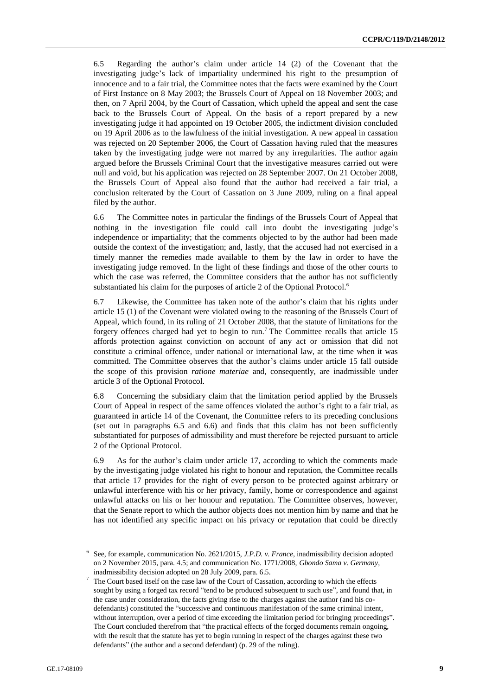6.5 Regarding the author's claim under article 14 (2) of the Covenant that the investigating judge's lack of impartiality undermined his right to the presumption of innocence and to a fair trial, the Committee notes that the facts were examined by the Court of First Instance on 8 May 2003; the Brussels Court of Appeal on 18 November 2003; and then, on 7 April 2004, by the Court of Cassation, which upheld the appeal and sent the case back to the Brussels Court of Appeal. On the basis of a report prepared by a new investigating judge it had appointed on 19 October 2005, the indictment division concluded on 19 April 2006 as to the lawfulness of the initial investigation. A new appeal in cassation was rejected on 20 September 2006, the Court of Cassation having ruled that the measures taken by the investigating judge were not marred by any irregularities. The author again argued before the Brussels Criminal Court that the investigative measures carried out were null and void, but his application was rejected on 28 September 2007. On 21 October 2008, the Brussels Court of Appeal also found that the author had received a fair trial, a conclusion reiterated by the Court of Cassation on 3 June 2009, ruling on a final appeal filed by the author.

6.6 The Committee notes in particular the findings of the Brussels Court of Appeal that nothing in the investigation file could call into doubt the investigating judge's independence or impartiality; that the comments objected to by the author had been made outside the context of the investigation; and, lastly, that the accused had not exercised in a timely manner the remedies made available to them by the law in order to have the investigating judge removed. In the light of these findings and those of the other courts to which the case was referred, the Committee considers that the author has not sufficiently substantiated his claim for the purposes of article 2 of the Optional Protocol.<sup>6</sup>

6.7 Likewise, the Committee has taken note of the author's claim that his rights under article 15 (1) of the Covenant were violated owing to the reasoning of the Brussels Court of Appeal, which found, in its ruling of 21 October 2008, that the statute of limitations for the forgery offences charged had yet to begin to run.<sup>7</sup> The Committee recalls that article 15 affords protection against conviction on account of any act or omission that did not constitute a criminal offence, under national or international law, at the time when it was committed. The Committee observes that the author's claims under article 15 fall outside the scope of this provision *ratione materiae* and, consequently, are inadmissible under article 3 of the Optional Protocol.

6.8 Concerning the subsidiary claim that the limitation period applied by the Brussels Court of Appeal in respect of the same offences violated the author's right to a fair trial, as guaranteed in article 14 of the Covenant, the Committee refers to its preceding conclusions (set out in paragraphs 6.5 and 6.6) and finds that this claim has not been sufficiently substantiated for purposes of admissibility and must therefore be rejected pursuant to article 2 of the Optional Protocol.

6.9 As for the author's claim under article 17, according to which the comments made by the investigating judge violated his right to honour and reputation, the Committee recalls that article 17 provides for the right of every person to be protected against arbitrary or unlawful interference with his or her privacy, family, home or correspondence and against unlawful attacks on his or her honour and reputation. The Committee observes, however, that the Senate report to which the author objects does not mention him by name and that he has not identified any specific impact on his privacy or reputation that could be directly

<sup>6</sup> See, for example, communication No. 2621/2015, *J.P.D. v. France*, inadmissibility decision adopted on 2 November 2015, para. 4.5; and communication No. 1771/2008, *Gbondo Sama v. Germany*, inadmissibility decision adopted on 28 July 2009, para. 6.5.

<sup>7</sup> The Court based itself on the case law of the Court of Cassation, according to which the effects sought by using a forged tax record "tend to be produced subsequent to such use", and found that, in the case under consideration, the facts giving rise to the charges against the author (and his codefendants) constituted the "successive and continuous manifestation of the same criminal intent, without interruption, over a period of time exceeding the limitation period for bringing proceedings". The Court concluded therefrom that "the practical effects of the forged documents remain ongoing, with the result that the statute has yet to begin running in respect of the charges against these two defendants" (the author and a second defendant) (p. 29 of the ruling).